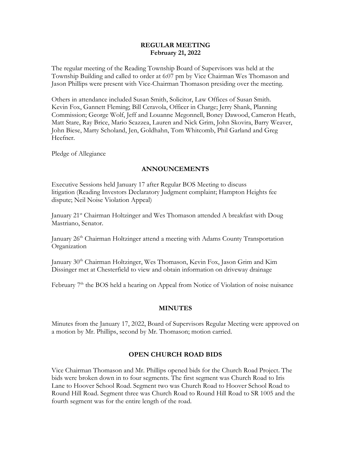### **REGULAR MEETING February 21, 2022**

The regular meeting of the Reading Township Board of Supervisors was held at the Township Building and called to order at 6:07 pm by Vice Chairman Wes Thomason and Jason Phillips were present with Vice-Chairman Thomason presiding over the meeting.

Others in attendance included Susan Smith, Solicitor, Law Offices of Susan Smith. Kevin Fox, Gannett Fleming; Bill Ceravola, Officer in Charge; Jerry Shank, Planning Commission; George Wolf, Jeff and Louanne Megonnell, Boney Dawood, Cameron Heath, Matt Stare, Ray Brice, Mario Scazzea, Lauren and Nick Grim, John Skovira, Barry Weaver, John Biese, Marty Scholand, Jen, Goldhahn, Tom Whitcomb, Phil Garland and Greg Heefner.

Pledge of Allegiance

## **ANNOUNCEMENTS**

Executive Sessions held January 17 after Regular BOS Meeting to discuss litigation (Reading Investors Declaratory Judgment complaint; Hampton Heights fee dispute; Neil Noise Violation Appeal)

January 21st Chairman Holtzinger and Wes Thomason attended A breakfast with Doug Mastriano, Senator.

January 26<sup>th</sup> Chairman Holtzinger attend a meeting with Adams County Transportation Organization

January 30<sup>th</sup> Chairman Holtzinger, Wes Thomason, Kevin Fox, Jason Grim and Kim Dissinger met at Chesterfield to view and obtain information on driveway drainage

February 7<sup>th</sup> the BOS held a hearing on Appeal from Notice of Violation of noise nuisance

### **MINUTES**

Minutes from the January 17, 2022, Board of Supervisors Regular Meeting were approved on a motion by Mr. Phillips, second by Mr. Thomason; motion carried.

# **OPEN CHURCH ROAD BIDS**

Vice Chairman Thomason and Mr. Phillips opened bids for the Church Road Project. The bids were broken down in to four segments. The first segment was Church Road to Iris Lane to Hoover School Road. Segment two was Church Road to Hoover School Road to Round Hill Road. Segment three was Church Road to Round Hill Road to SR 1005 and the fourth segment was for the entire length of the road.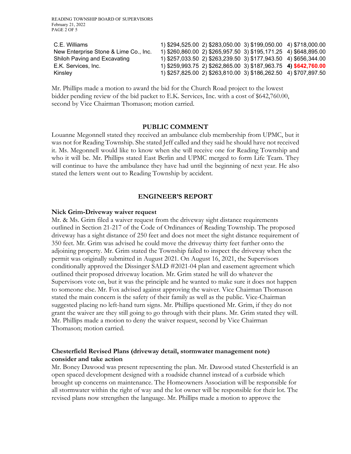| C.E. Williams                         |  | 1) \$294,525.00 2) \$283,050.00 3) \$199,050.00 4) \$718,000.00 |  |
|---------------------------------------|--|-----------------------------------------------------------------|--|
| New Enterprise Stone & Lime Co., Inc. |  | 1) \$260,860.00 2) \$265,957.50 3) \$195,171.25 4) \$648,895.00 |  |
| Shiloh Paving and Excavating          |  | 1) \$257,033.50 2) \$263,239.50 3) \$177,943.50 4) \$656,344.00 |  |
| E.K. Services, Inc.                   |  | 1) \$259,993.75 2) \$262,865.00 3) \$187,963.75 4) \$642,760.00 |  |
| Kinsley                               |  | 1) \$257,825.00 2) \$263,810.00 3) \$186,262.50 4) \$707,897.50 |  |

Mr. Phillips made a motion to award the bid for the Church Road project to the lowest bidder pending review of the bid packet to E.K. Services, Inc. with a cost of \$642,760.00, second by Vice Chairman Thomason; motion carried.

#### **PUBLIC COMMENT**

Louanne Megonnell stated they received an ambulance club membership from UPMC, but it was not for Reading Township. She stated Jeff called and they said he should have not received it. Ms. Megonnell would like to know when she will receive one for Reading Township and who it will be. Mr. Phillips stated East Berlin and UPMC merged to form Life Team. They will continue to have the ambulance they have had until the beginning of next year. He also stated the letters went out to Reading Township by accident.

#### **ENGINEER'S REPORT**

#### **Nick Grim-Driveway waiver request**

Mr. & Ms. Grim filed a waiver request from the driveway sight distance requirements outlined in Section 21-217 of the Code of Ordinances of Reading Township. The proposed driveway has a sight distance of 250 feet and does not meet the sight distance requirement of 350 feet. Mr. Grim was advised he could move the driveway thirty feet further onto the adjoining property. Mr. Grim stated the Township failed to inspect the driveway when the permit was originally submitted in August 2021. On August 16, 2021, the Supervisors conditionally approved the Dissinger SALD #2021-04 plan and easement agreement which outlined their proposed driveway location. Mr. Grim stated he will do whatever the Supervisors vote on, but it was the principle and he wanted to make sure it does not happen to someone else. Mr. Fox advised against approving the waiver. Vice Chairman Thomason stated the main concern is the safety of their family as well as the public. Vice-Chairman suggested placing no left-hand turn signs. Mr. Phillips questioned Mr. Grim, if they do not grant the waiver are they still going to go through with their plans. Mr. Grim stated they will. Mr. Phillips made a motion to deny the waiver request, second by Vice Chairman Thomason; motion carried.

## **Chesterfield Revised Plans (driveway detail, stormwater management note) consider and take action**

Mr. Boney Dawood was present representing the plan. Mr. Dawood stated Chesterfield is an open spaced development designed with a roadside channel instead of a curbside which brought up concerns on maintenance. The Homeowners Association will be responsible for all stormwater within the right of way and the lot owner will be responsible for their lot. The revised plans now strengthen the language. Mr. Phillips made a motion to approve the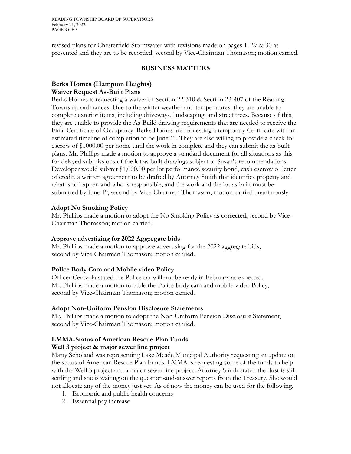READING TOWNSHIP BOARD OF SUPERVISORS February 21, 2022 PAGE 3 OF 5

revised plans for Chesterfield Stormwater with revisions made on pages 1, 29 & 30 as presented and they are to be recorded, second by Vice-Chairman Thomason; motion carried.

### **BUSINESS MATTERS**

## **Berks Homes (Hampton Heights) Waiver Request As-Built Plans**

Berks Homes is requesting a waiver of Section 22-310 & Section 23-407 of the Reading Township ordinances. Due to the winter weather and temperatures, they are unable to complete exterior items, including driveways, landscaping, and street trees. Because of this, they are unable to provide the As-Build drawing requirements that are needed to receive the Final Certificate of Occupancy. Berks Homes are requesting a temporary Certificate with an estimated timeline of completion to be June 1<sup>st</sup>. They are also willing to provide a check for escrow of \$1000.00 per home until the work in complete and they can submit the as-built plans. Mr. Phillips made a motion to approve a standard document for all situations as this for delayed submissions of the lot as built drawings subject to Susan's recommendations. Developer would submit \$1,000.00 per lot performance security bond, cash escrow or letter of credit, a written agreement to be drafted by Attorney Smith that identifies property and what is to happen and who is responsible, and the work and the lot as built must be submitted by June 1<sup>st</sup>, second by Vice-Chairman Thomason; motion carried unanimously.

### **Adopt No Smoking Policy**

Mr. Phillips made a motion to adopt the No Smoking Policy as corrected, second by Vice-Chairman Thomason; motion carried.

### **Approve advertising for 2022 Aggregate bids**

Mr. Phillips made a motion to approve advertising for the 2022 aggregate bids, second by Vice-Chairman Thomason; motion carried.

## **Police Body Cam and Mobile video Policy**

Officer Ceravola stated the Police car will not be ready in February as expected. Mr. Phillips made a motion to table the Police body cam and mobile video Policy, second by Vice-Chairman Thomason; motion carried.

### **Adopt Non-Uniform Pension Disclosure Statements**

Mr. Phillips made a motion to adopt the Non-Uniform Pension Disclosure Statement, second by Vice-Chairman Thomason; motion carried.

# **LMMA-Status of American Rescue Plan Funds**

## **Well 3 project & major sewer line project**

Marty Scholand was representing Lake Meade Municipal Authority requesting an update on the status of American Rescue Plan Funds. LMMA is requesting some of the funds to help with the Well 3 project and a major sewer line project. Attorney Smith stated the dust is still settling and she is waiting on the question-and-answer reports from the Treasury. She would not allocate any of the money just yet. As of now the money can be used for the following.

- 1. Economic and public health concerns
- 2. Essential pay increase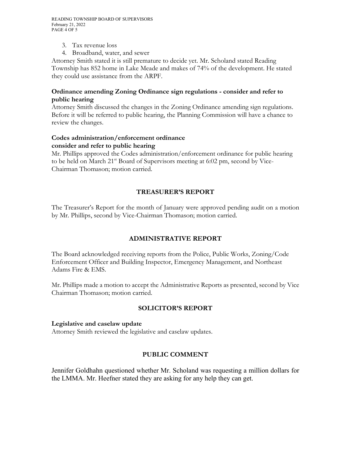READING TOWNSHIP BOARD OF SUPERVISORS February 21, 2022 PAGE 4 OF 5

- 3. Tax revenue loss
- 4. Broadband, water, and sewer

Attorney Smith stated it is still premature to decide yet. Mr. Scholand stated Reading Township has 852 home in Lake Meade and makes of 74% of the development. He stated they could use assistance from the ARPF.

## **Ordinance amending Zoning Ordinance sign regulations - consider and refer to public hearing**

Attorney Smith discussed the changes in the Zoning Ordinance amending sign regulations. Before it will be referred to public hearing, the Planning Commission will have a chance to review the changes.

## **Codes administration/enforcement ordinance consider and refer to public hearing**

Mr. Phillips approved the Codes administration/enforcement ordinance for public hearing to be held on March  $21^{st}$  Board of Supervisors meeting at 6:02 pm, second by Vice-Chairman Thomason; motion carried.

# **TREASURER'S REPORT**

The Treasurer's Report for the month of January were approved pending audit on a motion by Mr. Phillips, second by Vice-Chairman Thomason; motion carried.

# **ADMINISTRATIVE REPORT**

The Board acknowledged receiving reports from the Police, Public Works, Zoning/Code Enforcement Officer and Building Inspector, Emergency Management, and Northeast Adams Fire & EMS.

Mr. Phillips made a motion to accept the Administrative Reports as presented, second by Vice Chairman Thomason; motion carried.

## **SOLICITOR'S REPORT**

## **Legislative and caselaw update**

Attorney Smith reviewed the legislative and caselaw updates.

# **PUBLIC COMMENT**

Jennifer Goldhahn questioned whether Mr. Scholand was requesting a million dollars for the LMMA. Mr. Heefner stated they are asking for any help they can get.